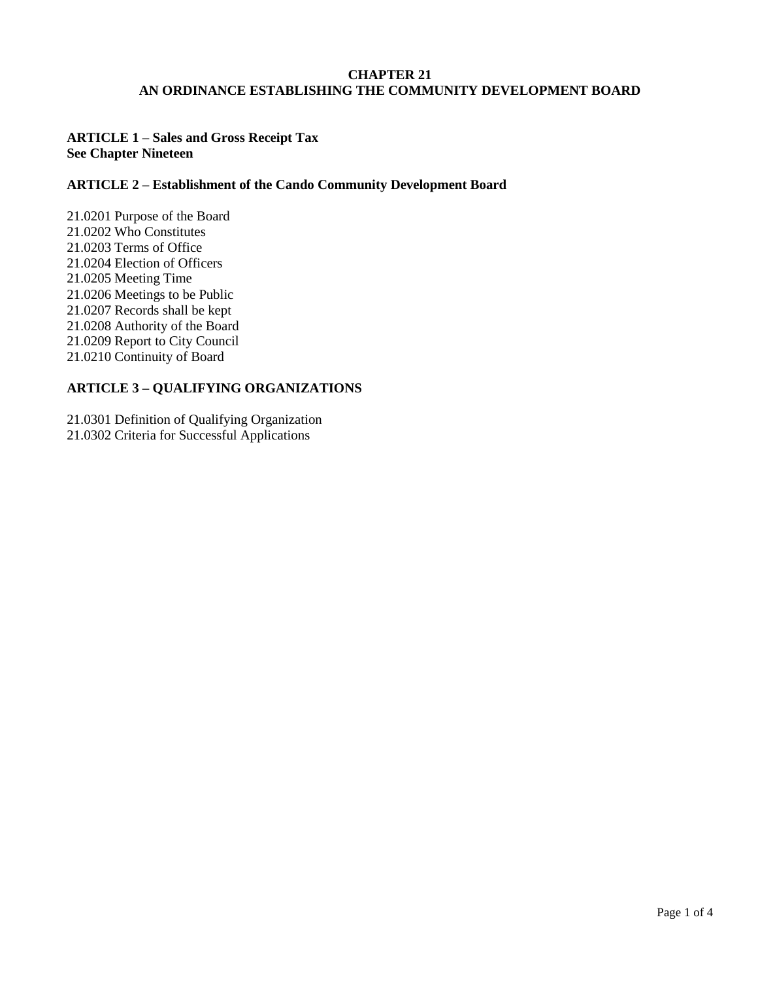## **CHAPTER 21 AN ORDINANCE ESTABLISHING THE COMMUNITY DEVELOPMENT BOARD**

# **ARTICLE 1 – Sales and Gross Receipt Tax See Chapter Nineteen**

## **ARTICLE 2 – Establishment of the Cando Community Development Board**

21.0201 Purpose of the Board 21.0202 Who Constitutes 21.0203 Terms of Office 21.0204 Election of Officers 21.0205 Meeting Time 21.0206 Meetings to be Public 21.0207 Records shall be kept 21.0208 Authority of the Board 21.0209 Report to City Council 21.0210 Continuity of Board

# **ARTICLE 3 – QUALIFYING ORGANIZATIONS**

21.0301 Definition of Qualifying Organization 21.0302 Criteria for Successful Applications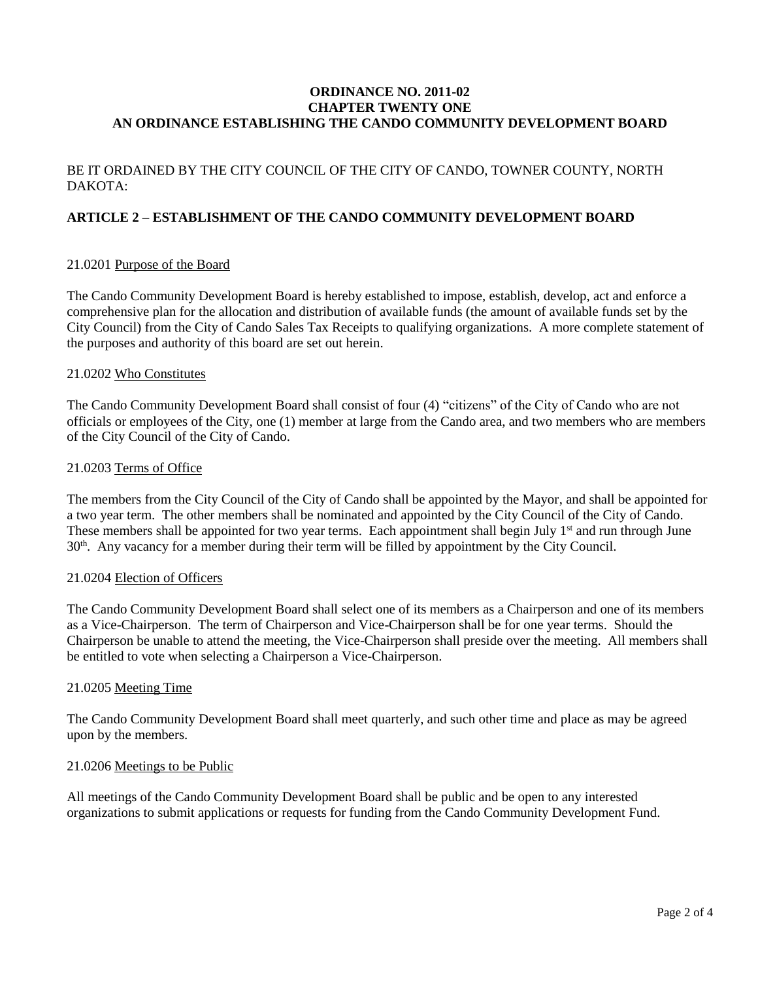## **ORDINANCE NO. 2011-02 CHAPTER TWENTY ONE AN ORDINANCE ESTABLISHING THE CANDO COMMUNITY DEVELOPMENT BOARD**

# BE IT ORDAINED BY THE CITY COUNCIL OF THE CITY OF CANDO, TOWNER COUNTY, NORTH DAKOTA:

## **ARTICLE 2 – ESTABLISHMENT OF THE CANDO COMMUNITY DEVELOPMENT BOARD**

#### 21.0201 Purpose of the Board

The Cando Community Development Board is hereby established to impose, establish, develop, act and enforce a comprehensive plan for the allocation and distribution of available funds (the amount of available funds set by the City Council) from the City of Cando Sales Tax Receipts to qualifying organizations. A more complete statement of the purposes and authority of this board are set out herein.

#### 21.0202 Who Constitutes

The Cando Community Development Board shall consist of four (4) "citizens" of the City of Cando who are not officials or employees of the City, one (1) member at large from the Cando area, and two members who are members of the City Council of the City of Cando.

#### 21.0203 Terms of Office

The members from the City Council of the City of Cando shall be appointed by the Mayor, and shall be appointed for a two year term. The other members shall be nominated and appointed by the City Council of the City of Cando. These members shall be appointed for two year terms. Each appointment shall begin July  $1<sup>st</sup>$  and run through June 30<sup>th</sup>. Any vacancy for a member during their term will be filled by appointment by the City Council.

#### 21.0204 Election of Officers

The Cando Community Development Board shall select one of its members as a Chairperson and one of its members as a Vice-Chairperson. The term of Chairperson and Vice-Chairperson shall be for one year terms. Should the Chairperson be unable to attend the meeting, the Vice-Chairperson shall preside over the meeting. All members shall be entitled to vote when selecting a Chairperson a Vice-Chairperson.

## 21.0205 Meeting Time

The Cando Community Development Board shall meet quarterly, and such other time and place as may be agreed upon by the members.

#### 21.0206 Meetings to be Public

All meetings of the Cando Community Development Board shall be public and be open to any interested organizations to submit applications or requests for funding from the Cando Community Development Fund.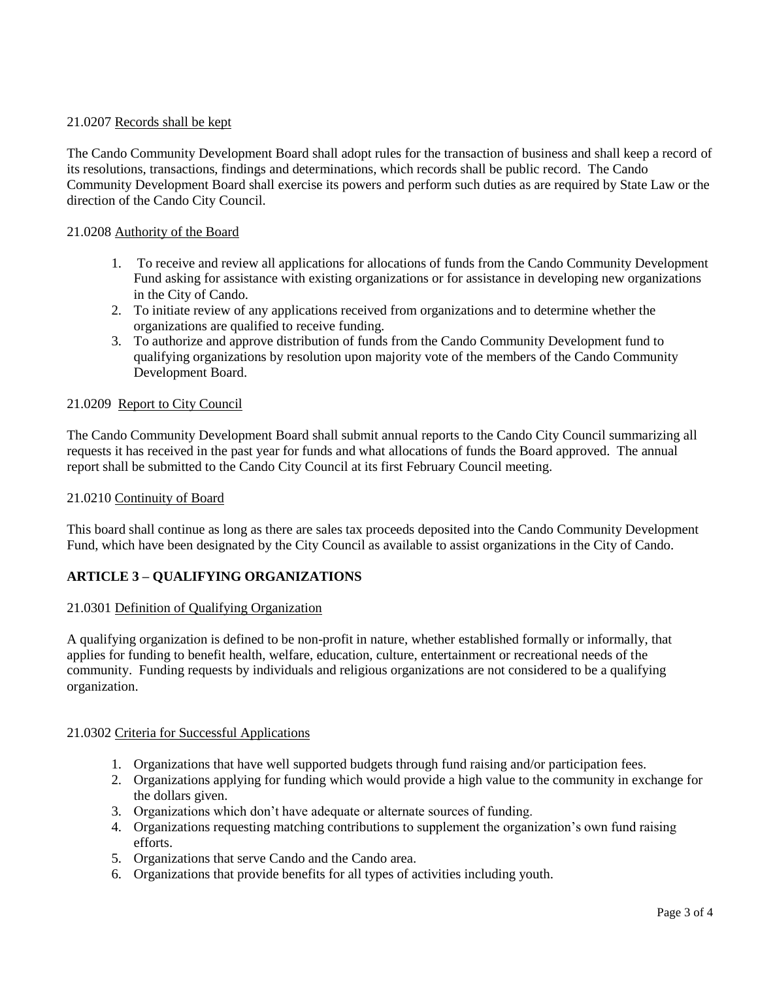## 21.0207 Records shall be kept

The Cando Community Development Board shall adopt rules for the transaction of business and shall keep a record of its resolutions, transactions, findings and determinations, which records shall be public record. The Cando Community Development Board shall exercise its powers and perform such duties as are required by State Law or the direction of the Cando City Council.

## 21.0208 Authority of the Board

- 1. To receive and review all applications for allocations of funds from the Cando Community Development Fund asking for assistance with existing organizations or for assistance in developing new organizations in the City of Cando.
- 2. To initiate review of any applications received from organizations and to determine whether the organizations are qualified to receive funding.
- 3. To authorize and approve distribution of funds from the Cando Community Development fund to qualifying organizations by resolution upon majority vote of the members of the Cando Community Development Board.

## 21.0209 Report to City Council

The Cando Community Development Board shall submit annual reports to the Cando City Council summarizing all requests it has received in the past year for funds and what allocations of funds the Board approved. The annual report shall be submitted to the Cando City Council at its first February Council meeting.

### 21.0210 Continuity of Board

This board shall continue as long as there are sales tax proceeds deposited into the Cando Community Development Fund, which have been designated by the City Council as available to assist organizations in the City of Cando.

## **ARTICLE 3 – QUALIFYING ORGANIZATIONS**

#### 21.0301 Definition of Qualifying Organization

A qualifying organization is defined to be non-profit in nature, whether established formally or informally, that applies for funding to benefit health, welfare, education, culture, entertainment or recreational needs of the community. Funding requests by individuals and religious organizations are not considered to be a qualifying organization.

#### 21.0302 Criteria for Successful Applications

- 1. Organizations that have well supported budgets through fund raising and/or participation fees.
- 2. Organizations applying for funding which would provide a high value to the community in exchange for the dollars given.
- 3. Organizations which don't have adequate or alternate sources of funding.
- 4. Organizations requesting matching contributions to supplement the organization's own fund raising efforts.
- 5. Organizations that serve Cando and the Cando area.
- 6. Organizations that provide benefits for all types of activities including youth.